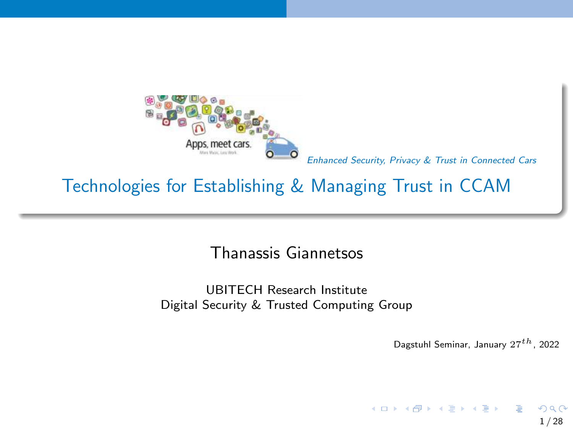<span id="page-0-0"></span>

### Technologies for Establishing & Managing Trust in CCAM

Thanassis Giannetsos

UBITECH Research Institute Digital Security & Trusted Computing Group

Dagstuhl Seminar, January  $27^{th}$ , 2022

 $A \equiv \begin{pmatrix} 1 & 0 & 0 \\ 0 & 1 & 0 \\ 0 & 0 & 0 \end{pmatrix} \in A \Rightarrow A \equiv \begin{pmatrix} 1 & 0 & 0 \\ 0 & 1 & 0 \\ 0 & 0 & 0 \end{pmatrix} \in A$ 

1 / 28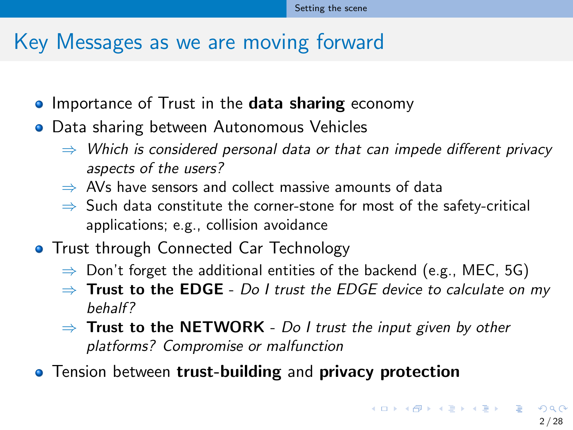### <span id="page-1-0"></span>Key Messages as we are moving forward

- **IMPORTANCE OF Trust in the data sharing economy**
- **•** Data sharing between Autonomous Vehicles
	- $\Rightarrow$  Which is considered personal data or that can impede different privacy aspects of the users?
	- $\Rightarrow$  AVs have sensors and collect massive amounts of data
	- $\Rightarrow$  Such data constitute the corner-stone for most of the safety-critical applications; e.g., collision avoidance
- **Trust through Connected Car Technology** 
	- $\Rightarrow$  Don't forget the additional entities of the backend (e.g., MEC, 5G)
	- $\Rightarrow$  Trust to the EDGE Do I trust the EDGE device to calculate on my behalf?
	- $\Rightarrow$  Trust to the NETWORK Do I trust the input given by other platforms? Compromise or malfunction
- **•** Tension between trust-building and privacy protection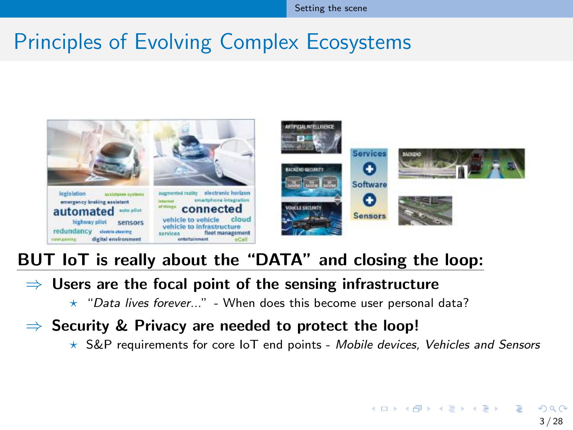### Principles of Evolving Complex Ecosystems



#### BUT IoT is really about the "DATA" and closing the loop:

#### $\Rightarrow$  Users are the focal point of the sensing infrastructure

- $\star$  "Data lives forever..." When does this become user personal data?
- $\Rightarrow$  Security & Privacy are needed to protect the loop!
	- $\star$  S&P requirements for core IoT end points Mobile devices, Vehicles and Sensors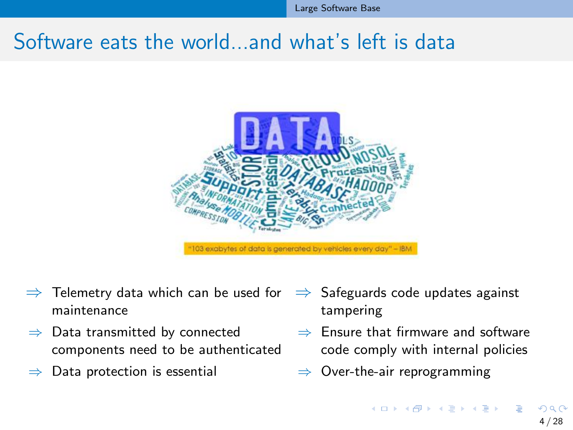### <span id="page-3-0"></span>Software eats the world, and what's left is data



- $\Rightarrow$  Telemetry data which can be used for maintenance
- $\Rightarrow$  Data transmitted by connected components need to be authenticated
- Data protection is essential
- $\Rightarrow$  Safeguards code updates against tampering
- $\Rightarrow$  Ensure that firmware and software code comply with internal policies
- $\Rightarrow$  Over-the-air reprogramming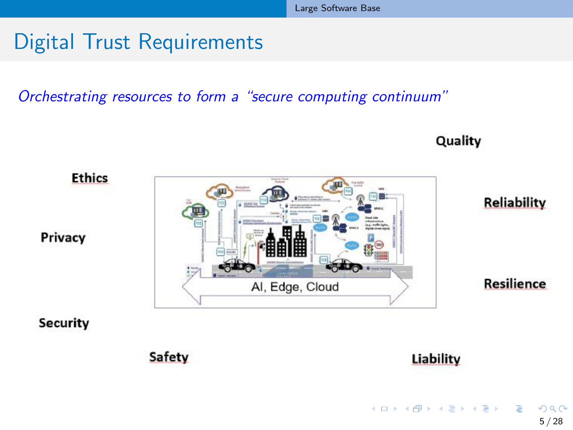## Digital Trust Requirements

Orchestrating resources to form a "secure computing continuum"



目

Quality

イロト イ団 トイミト イミト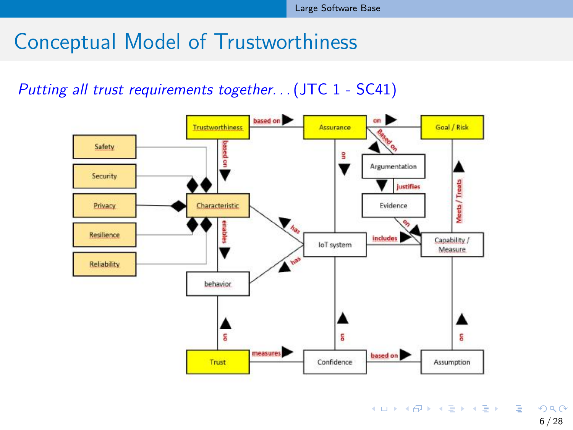### <span id="page-5-0"></span>Conceptual Model of Trustworthiness

#### Putting all trust requirements together. . . (JTC 1 - SC41)



 $QQ$ 6 / 28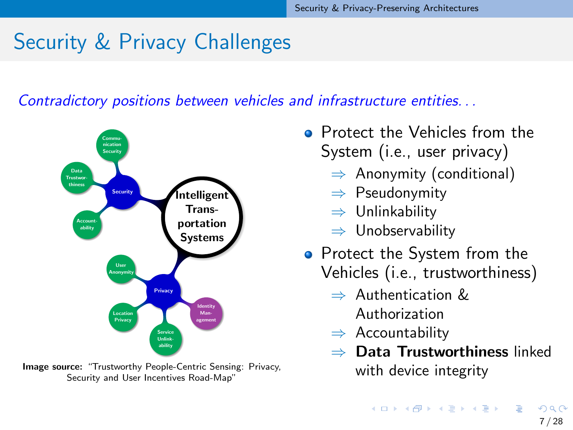## <span id="page-6-0"></span>Security & Privacy Challenges

Contradictory positions between vehicles and infrastructure entities. . .



Image source: "Trustworthy People-Centric Sensing: Privacy, Security and User Incentives Road-Map"

- **Protect the Vehicles from the** System (i.e., user privacy)
	- $\Rightarrow$  Anonymity (conditional)
	- ⇒ Pseudonymity
	- ⇒ Unlinkability
	- ⇒ Unobservability
- Protect the System from the Vehicles (i.e., trustworthiness)
	- $\Rightarrow$  Authentication  $\&$ Authorization
	- $\Rightarrow$  Accountability
	- Data Trustworthiness linked with device integrity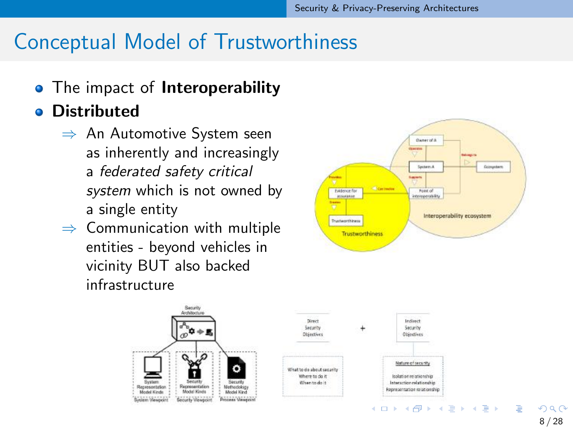### Conceptual Model of Trustworthiness

• The impact of **Interoperability** 

#### **o** Distributed

- ⇒ An Automotive System seen as inherently and increasingly a federated safety critical system which is not owned by a single entity
- $\Rightarrow$  Communication with multiple entities - beyond vehicles in vicinity BUT also backed infrastructure



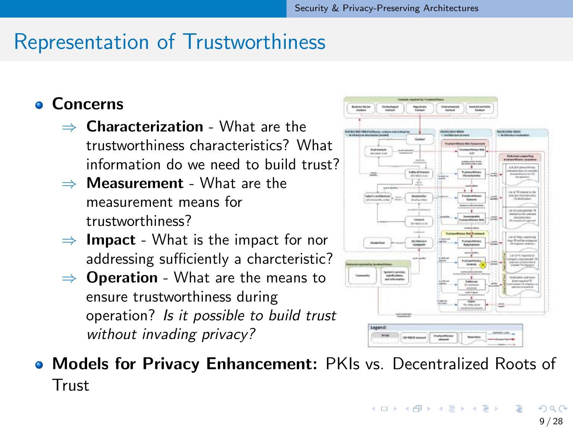### Representation of Trustworthiness

**o** Concerns

- $\Rightarrow$  Characterization What are the trustworthiness characteristics? What information do we need to build trust?
- $\Rightarrow$  **Measurement** What are the measurement means for trustworthiness?
- $\Rightarrow$  Impact What is the impact for nor addressing sufficiently a charcteristic?
- $\Rightarrow$  **Operation** What are the means to ensure trustworthiness during operation? Is it possible to build trust without invading privacy?



**• Models for Privacy Enhancement:** PKIs vs. Decentralized Roots of **Trust**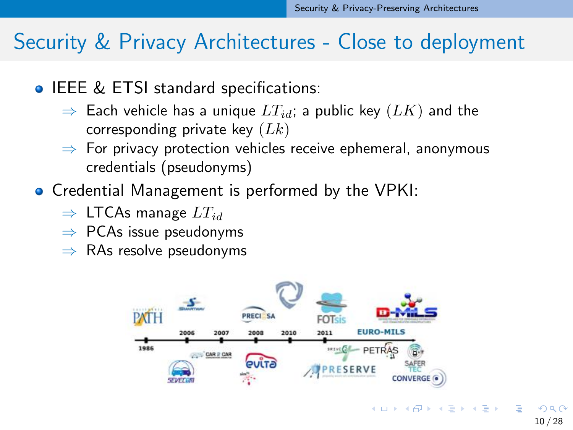### Security & Privacy Architectures - Close to deployment

- **IEEE & ETSI standard specifications:** 
	- $\Rightarrow$  Each vehicle has a unique  $LT_{id}$ ; a public key  $(LK)$  and the corresponding private key  $(Lk)$
	- $\Rightarrow$  For privacy protection vehicles receive ephemeral, anonymous credentials (pseudonyms)
- **Credential Management is performed by the VPKI:** 
	- $\Rightarrow$  LTCAs manage  $LT_{id}$
	- $\Rightarrow$  PCAs issue pseudonyms
	- $\Rightarrow$  RAs resolve pseudonyms



 $\Omega$ 

 $\left\{ \begin{array}{ccc} 1 & 0 & 0 \\ 0 & 1 & 0 \end{array} \right.$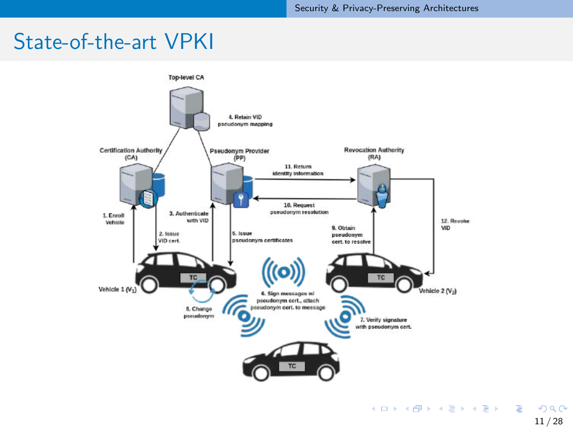### State-of-the-art VPKI

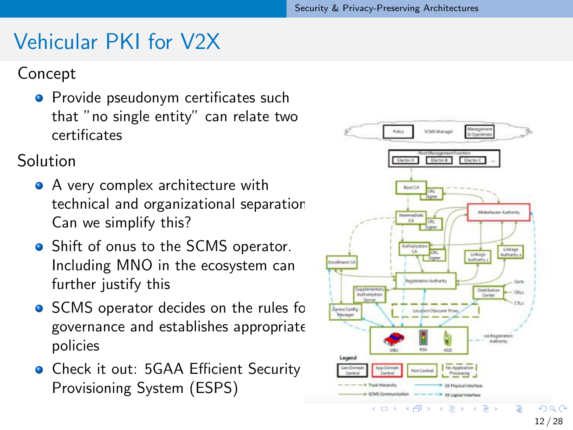### Vehicular PKI for V2X

#### Concept

**•** Provide pseudonym certificates such that "no single entity" can relate two certificates

Solution

- A very complex architecture with technical and organizational separation. Can we simplify this?
- Shift of onus to the SCMS operator. Including MNO in the ecosystem can further justify this
- SCMS operator decides on the rules for governance and establishes appropriate policies
- **Check it out: 5GAA Efficient Security** Provisioning System (ESPS)

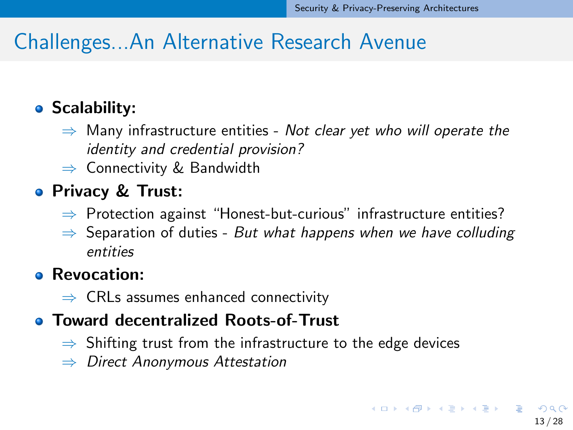### <span id="page-12-0"></span>Challenges...An Alternative Research Avenue

### • Scalability:

- $\Rightarrow$  Many infrastructure entities Not clear yet who will operate the identity and credential provision?
- $\Rightarrow$  Connectivity & Bandwidth

### **• Privacy & Trust:**

- $\Rightarrow$  Protection against "Honest-but-curious" infrastructure entities?
- $\Rightarrow$  Separation of duties But what happens when we have colluding entities

#### **• Revocation:**

 $\Rightarrow$  CRLs assumes enhanced connectivity

### **• Toward decentralized Roots-of-Trust**

- $\Rightarrow$  Shifting trust from the infrastructure to the edge devices
- $\Rightarrow$  Direct Anonymous Attestation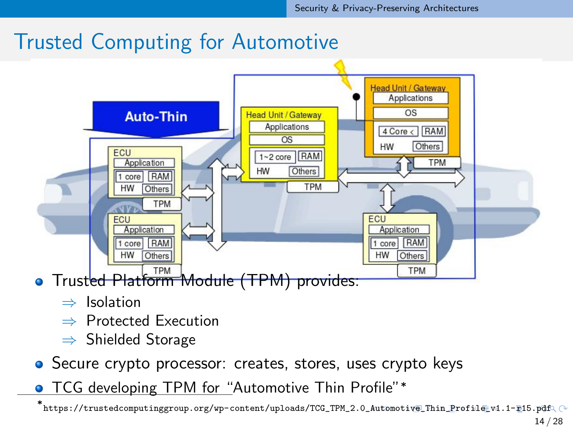### <span id="page-13-0"></span>Trusted Computing for Automotive



- - ⇒ Isolation
	- ⇒ Protected Execution
	- ⇒ Shielded Storage
- **•** Secure crypto processor: creates, stores, uses crypto keys
- TCG developing TPM for "Automotive Thin Profile"\*

<sup>∗</sup> [https://trustedcomputinggroup.org/wp-content/uploads/TCG\\_TPM\\_2.0\\_](https://trustedcomputinggroup.org/wp-content/uploads/TCG_TPM_2.0_Automotive_Thin_Profile_v1.1-r15.pdf)[A](#page-12-0)[uto](https://trustedcomputinggroup.org/wp-content/uploads/TCG_TPM_2.0_Automotive_Thin_Profile_v1.1-r15.pdf)[mo](#page-14-0)[t](https://trustedcomputinggroup.org/wp-content/uploads/TCG_TPM_2.0_Automotive_Thin_Profile_v1.1-r15.pdf)[i](#page-12-0)[v](#page-13-0)[e](https://trustedcomputinggroup.org/wp-content/uploads/TCG_TPM_2.0_Automotive_Thin_Profile_v1.1-r15.pdf)[\\_](#page-13-0)[Th](#page-14-0)[in](#page-5-0)[\\_](#page-6-0)[Pr](#page-13-0)[o](#page-14-0)[f](https://trustedcomputinggroup.org/wp-content/uploads/TCG_TPM_2.0_Automotive_Thin_Profile_v1.1-r15.pdf)[i](#page-0-0)[l](https://trustedcomputinggroup.org/wp-content/uploads/TCG_TPM_2.0_Automotive_Thin_Profile_v1.1-r15.pdf)[e](#page-0-0)[\\_](#page-27-0)[v](https://trustedcomputinggroup.org/wp-content/uploads/TCG_TPM_2.0_Automotive_Thin_Profile_v1.1-r15.pdf)[1](#page-28-0)[.](https://trustedcomputinggroup.org/wp-content/uploads/TCG_TPM_2.0_Automotive_Thin_Profile_v1.1-r15.pdf)[1-](#page-0-0)[r](https://trustedcomputinggroup.org/wp-content/uploads/TCG_TPM_2.0_Automotive_Thin_Profile_v1.1-r15.pdf)[15.](#page-28-0)[pdf](https://trustedcomputinggroup.org/wp-content/uploads/TCG_TPM_2.0_Automotive_Thin_Profile_v1.1-r15.pdf)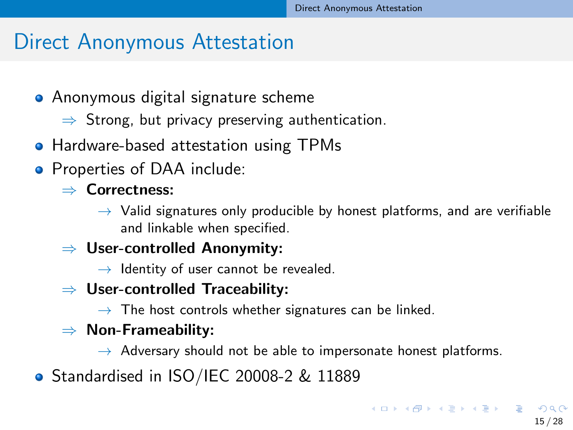### <span id="page-14-0"></span>Direct Anonymous Attestation

- **•** Anonymous digital signature scheme
	- $\Rightarrow$  Strong, but privacy preserving authentication.
- **Hardware-based attestation using TPMs**
- Properties of DAA include:

#### ⇒ Correctness:

- $\rightarrow$  Valid signatures only producible by honest platforms, and are verifiable and linkable when specified.
- $\Rightarrow$  User-controlled Anonymity:
	- $\rightarrow$  Identity of user cannot be revealed.
- $\Rightarrow$  User-controlled Traceability:
	- $\rightarrow$  The host controls whether signatures can be linked.

### $\Rightarrow$  Non-Frameability:

- $\rightarrow$  Adversary should not be able to impersonate honest platforms.
- Standardised in ISO/IEC 20008-2 & 11889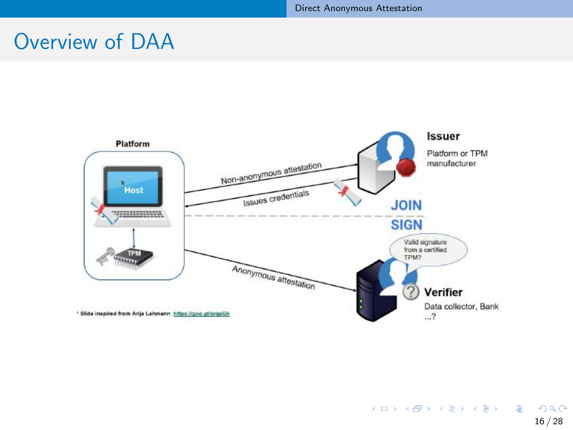### Overview of DAA

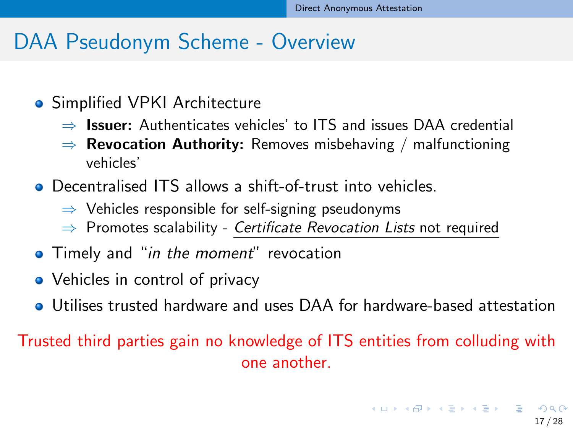### DAA Pseudonym Scheme - Overview

- **•** Simplified VPKI Architecture
	- $\Rightarrow$  **Issuer:** Authenticates vehicles' to ITS and issues DAA credential
	- $\Rightarrow$  Revocation Authority: Removes misbehaving / malfunctioning vehicles'
- **•** Decentralised ITS allows a shift-of-trust into vehicles.
	- $\Rightarrow$  Vehicles responsible for self-signing pseudonyms
	- $\Rightarrow$  Promotes scalability Certificate Revocation Lists not required
- **•** Timely and "in the moment" revocation
- Vehicles in control of privacy
- Utilises trusted hardware and uses DAA for hardware-based attestation

Trusted third parties gain no knowledge of ITS entities from colluding with one another.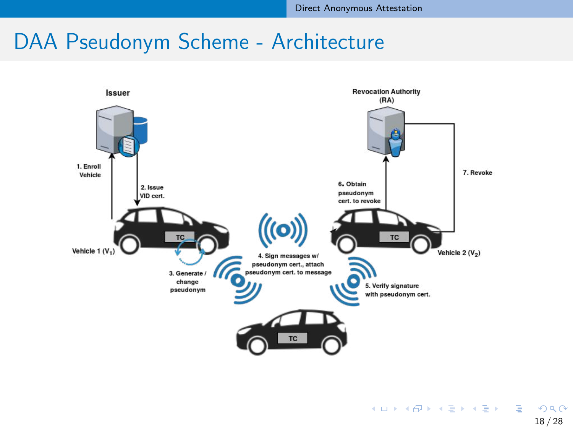### DAA Pseudonym Scheme - Architecture



18 / 28

**KORK E KERKERKERKEL**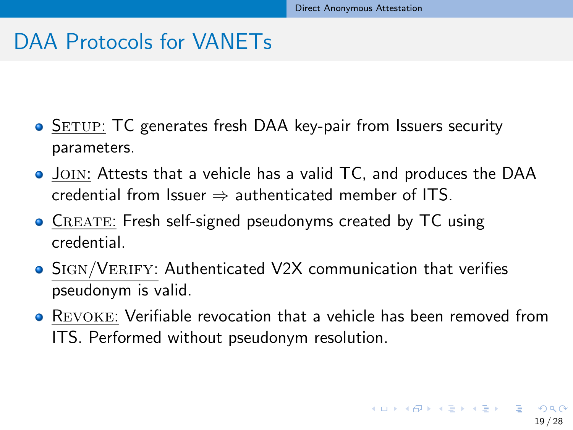### DAA Protocols for VANETs

- SETUP: TC generates fresh DAA key-pair from Issuers security parameters.
- Join: Attests that a vehicle has a valid TC, and produces the DAA credential from Issuer  $\Rightarrow$  authenticated member of ITS.
- **CREATE: Fresh self-signed pseudonyms created by TC using** credential.
- Sign/Verify: Authenticated V2X communication that verifies pseudonym is valid.
- Revoke: Verifiable revocation that a vehicle has been removed from ITS. Performed without pseudonym resolution.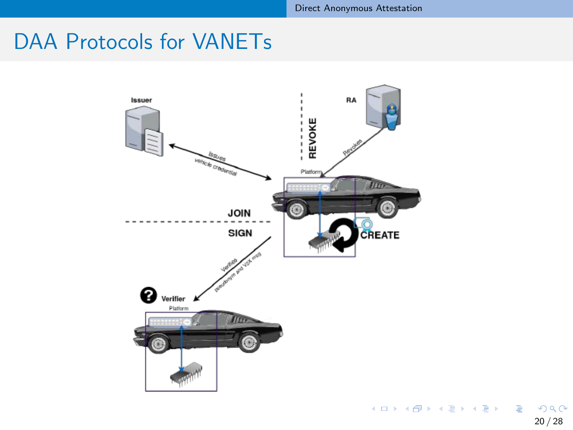### DAA Protocols for VANETs



 $299$ 20 / 28

G.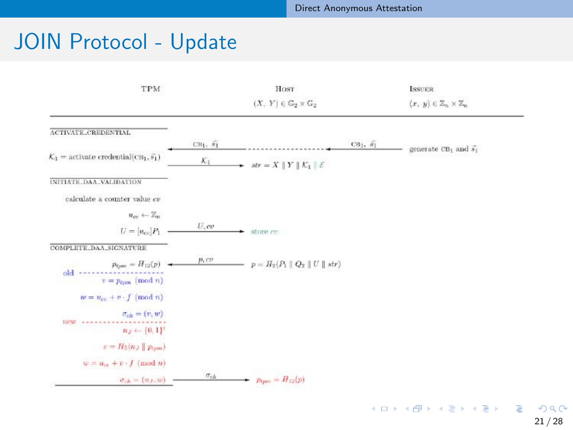## JOIN Protocol - Update

| TPM                                                                     | HOST          |                                                                     | <b>ISSUER</b>   |                                               |  |
|-------------------------------------------------------------------------|---------------|---------------------------------------------------------------------|-----------------|-----------------------------------------------|--|
|                                                                         |               | $(X, Y) \in \mathbb{G}_2 \times \mathbb{G}_2$                       |                 | $(x, y) \in \mathbb{Z}_n \times \mathbb{Z}_n$ |  |
| ACTIVATE_CREDENTIAL                                                     |               |                                                                     |                 |                                               |  |
|                                                                         | $CB_1, S_1$   |                                                                     | $CB1, \bar{s1}$ | generate $CB_1$ and $\widehat{s_1}$           |  |
| $\mathcal{K}_1$ = activate credential(CB <sub>1</sub> , $\tilde{s_1}$ ) | $K_1$         | str = $X \parallel Y \parallel \mathcal{K}_1 \parallel \mathcal{E}$ |                 |                                               |  |
| INITIATE_DAA_VALIDATION                                                 |               |                                                                     |                 |                                               |  |
| calculate a counter value cv                                            |               |                                                                     |                 |                                               |  |
| $u_{cv} \leftarrow \mathbb{Z}_m$                                        |               |                                                                     |                 |                                               |  |
| $U = [u_{cv}]P_1$                                                       | $U$ , $ev$    | store en                                                            |                 |                                               |  |
| COMPLETE_DAA_SIGNATURE                                                  |               |                                                                     |                 |                                               |  |
| $p_{\text{tpm}} = H_{12}(p)$<br>old<br>$v = p_{tpm} \pmod{n}$           | p, cv         | $p = H_2(P_1 \nVert Q_2 \nVert U \nVert str)$                       |                 |                                               |  |
| $w = u_{cv} + v \cdot f \pmod{n}$                                       |               |                                                                     |                 |                                               |  |
| $\sigma_{ch} = (v, w)$<br>new<br>$n_J \leftarrow \{0,1\}^t$             |               |                                                                     |                 |                                               |  |
| $v = H_5(n)    p_{\text{form}}$                                         |               |                                                                     |                 |                                               |  |
| $w = u_{\infty} + v \cdot f \pmod{n}$                                   |               |                                                                     |                 |                                               |  |
| $\sigma_{ch} = (n_J, w)$                                                | $\sigma_{ch}$ | $p_{\text{tpm}} = H_{12}(p)$                                        |                 |                                               |  |
|                                                                         |               |                                                                     |                 |                                               |  |

21 / 28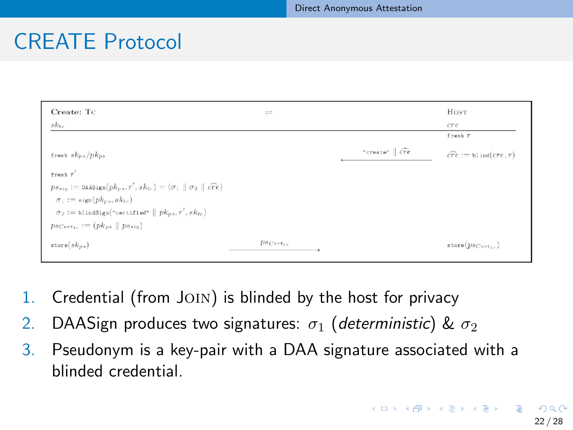### CREATE Protocol

| "create" $\vert \widehat{cre} \vert$ | cre<br>$f$ resh $T$<br>$\widehat{cre} := \text{b1ind}(cre, r)$ |
|--------------------------------------|----------------------------------------------------------------|
|                                      |                                                                |
|                                      |                                                                |
|                                      |                                                                |
|                                      |                                                                |
|                                      |                                                                |
|                                      |                                                                |
|                                      |                                                                |
|                                      |                                                                |
|                                      | $\texttt{store}(p_{SCert_{in}})$                               |
| $p_{SCert_{ter}}$                    |                                                                |

- 1. Credential (from JOIN) is blinded by the host for privacy
- 2. DAASign produces two signatures:  $\sigma_1$  (deterministic) &  $\sigma_2$
- 3. Pseudonym is a key-pair with a DAA signature associated with a blinded credential.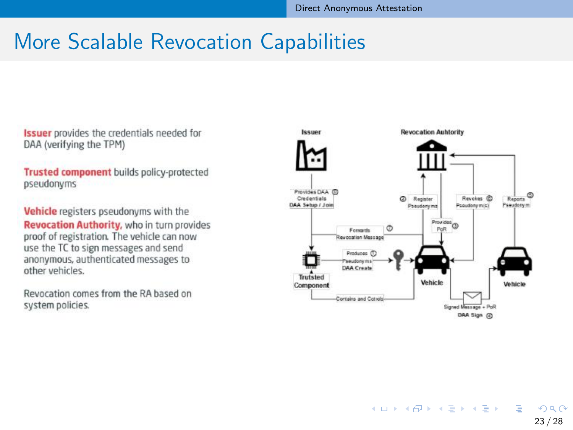### More Scalable Revocation Capabilities

**Issuer** provides the credentials needed for DAA (verifying the TPM)

**Trusted component** builds policy-protected pseudonyms

Vehicle registers pseudonyms with the **Revocation Authority**, who in turn provides proof of registration. The vehicle can now use the TC to sign messages and send anonymous, authenticated messages to other vehicles.

Revocation comes from the RA based on system policies.

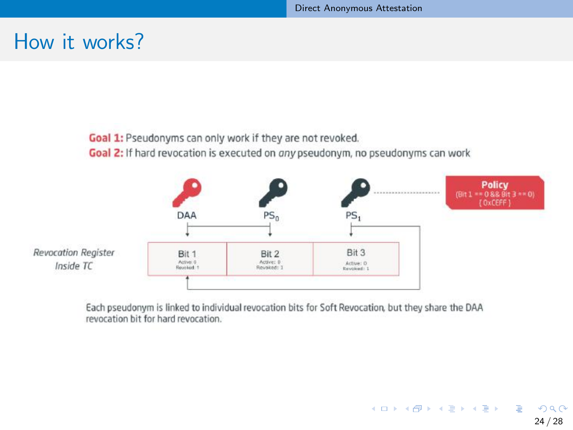24 / 28

э

 $QQ$ 

メロメメ 倒 メメ きょくきょう

### How it works?

Goal 1: Pseudonyms can only work if they are not revoked.

Goal 2: If hard revocation is executed on any pseudonym, no pseudonyms can work



Each pseudonym is linked to individual revocation bits for Soft Revocation, but they share the DAA revocation hit for hard revocation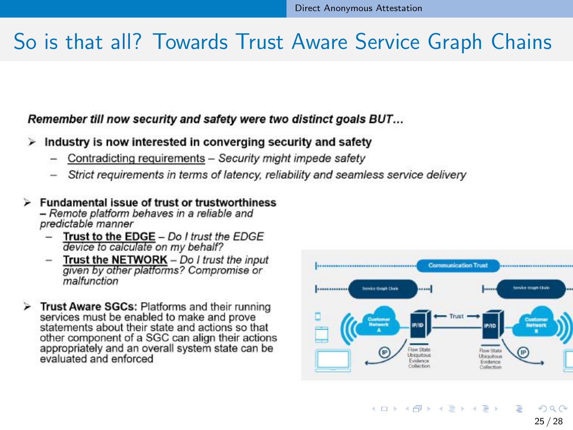### So is that all? Towards Trust Aware Service Graph Chains

#### Remember till now security and safety were two distinct goals BUT...

#### Industry is now interested in converging security and safety ⋗

- Contradicting requirements Security might impede safety
- Strict requirements in terms of latency, reliability and seamless service delivery

#### $\triangleright$  Fundamental issue of trust or trustworthiness - Remote platform behaves in a reliable and predictable manner

- Trust to the EDGE Do I trust the EDGE device to calculate on my behalf?
- Trust the NETWORK Do I trust the input  $\overline{\phantom{m}}$ given by other platforms? Compromise or malfunction
- > Trust Aware SGCs: Platforms and their running services must be enabled to make and prove statements about their state and actions so that other component of a SGC can align their actions appropriately and an overall system state can be evaluated and enforced



25 / 28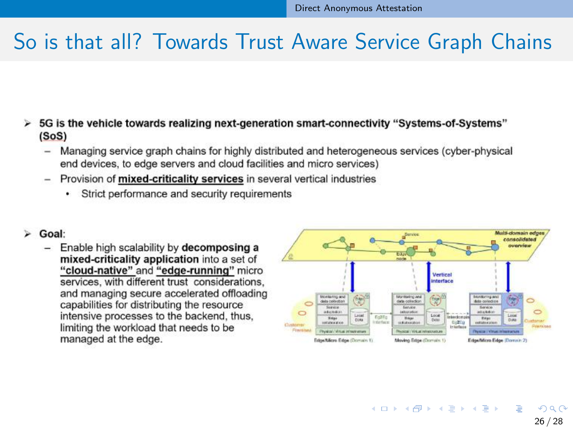### So is that all? Towards Trust Aware Service Graph Chains

- $\triangleright$  5G is the vehicle towards realizing next-generation smart-connectivity "Systems-of-Systems"  $(SoS)$ 
	- Managing service graph chains for highly distributed and heterogeneous services (cyber-physical end devices, to edge servers and cloud facilities and micro services)
	- Provision of mixed-criticality services in several vertical industries
		- Strict performance and security requirements
- $\triangleright$  Goal:
	- Enable high scalability by decomposing a mixed-criticality application into a set of "cloud-native" and "edge-running" micro services, with different trust considerations. and managing secure accelerated offloading capabilities for distributing the resource intensive processes to the backend, thus, limiting the workload that needs to be managed at the edge.

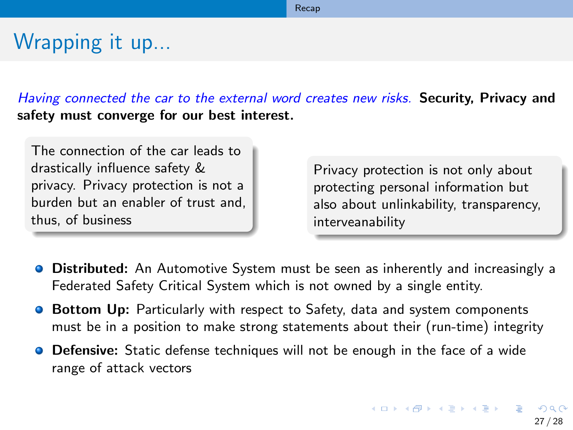#### [Recap](#page-26-0)

## <span id="page-26-0"></span>Wrapping it up...

Having connected the car to the external word creates new risks. Security, Privacy and safety must converge for our best interest.

The connection of the car leads to drastically influence safety & privacy. Privacy protection is not a burden but an enabler of trust and, thus, of business

Privacy protection is not only about protecting personal information but also about unlinkability, transparency, interveanability

- **Distributed:** An Automotive System must be seen as inherently and increasingly a Federated Safety Critical System which is not owned by a single entity.
- **Bottom Up:** Particularly with respect to Safety, data and system components must be in a position to make strong statements about their (run-time) integrity
- **O** Defensive: Static defense techniques will not be enough in the face of a wide range of attack vectors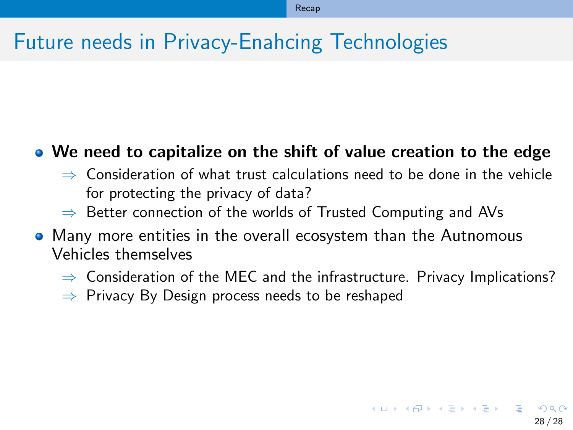### <span id="page-27-0"></span>Future needs in Privacy-Enahcing Technologies

#### We need to capitalize on the shift of value creation to the edge

- $\Rightarrow$  Consideration of what trust calculations need to be done in the vehicle for protecting the privacy of data?
- $\Rightarrow$  Better connection of the worlds of Trusted Computing and AVs
- Many more entities in the overall ecosystem than the Autnomous Vehicles themselves
	- $\Rightarrow$  Consideration of the MEC and the infrastructure. Privacy Implications?
	- $\Rightarrow$  Privacy By Design process needs to be reshaped